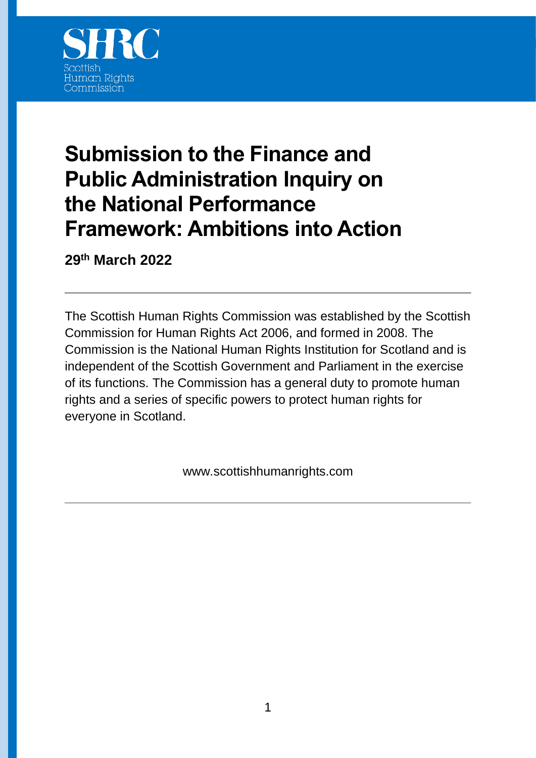

# **Submission to the Finance and Public Administration Inquiry on the National Performance Framework: Ambitions into Action**

**29th March 2022**

The Scottish Human Rights Commission was established by the Scottish Commission for Human Rights Act 2006, and formed in 2008. The Commission is the National Human Rights Institution for Scotland and is independent of the Scottish Government and Parliament in the exercise of its functions. The Commission has a general duty to promote human rights and a series of specific powers to protect human rights for everyone in Scotland.

www.scottishhumanrights.com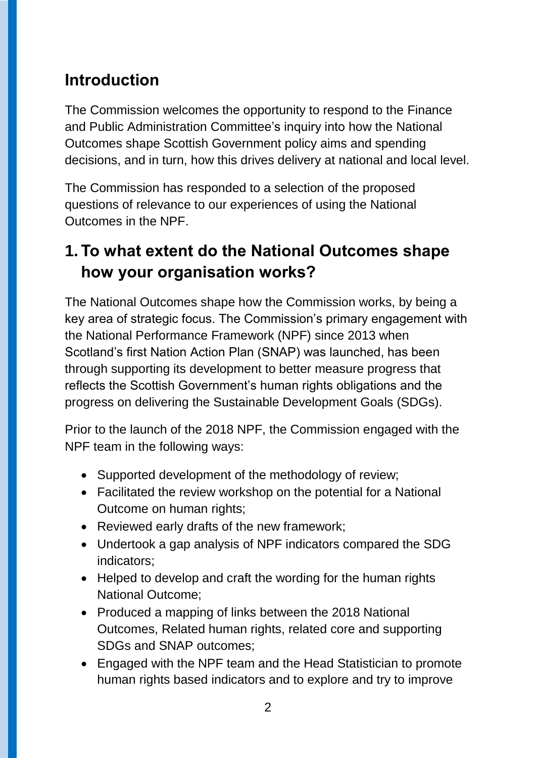# **Introduction**

The Commission welcomes the opportunity to respond to the Finance and Public Administration Committee's inquiry into how the National Outcomes shape Scottish Government policy aims and spending decisions, and in turn, how this drives delivery at national and local level.

The Commission has responded to a selection of the proposed questions of relevance to our experiences of using the National Outcomes in the NPF.

### **1. To what extent do the National Outcomes shape how your organisation works?**

The National Outcomes shape how the Commission works, by being a key area of strategic focus. The Commission's primary engagement with the National Performance Framework (NPF) since 2013 when Scotland's first Nation Action Plan (SNAP) was launched, has been through supporting its development to better measure progress that reflects the Scottish Government's human rights obligations and the progress on delivering the Sustainable Development Goals (SDGs).

Prior to the launch of the 2018 NPF, the Commission engaged with the NPF team in the following ways:

- Supported development of the methodology of review;
- Facilitated the review workshop on the potential for a National Outcome on human rights;
- Reviewed early drafts of the new framework;
- Undertook a gap analysis of NPF indicators compared the SDG indicators;
- Helped to develop and craft the wording for the human rights National Outcome;
- Produced a mapping of links between the 2018 National Outcomes, Related human rights, related core and supporting SDGs and SNAP outcomes;
- Engaged with the NPF team and the Head Statistician to promote human rights based indicators and to explore and try to improve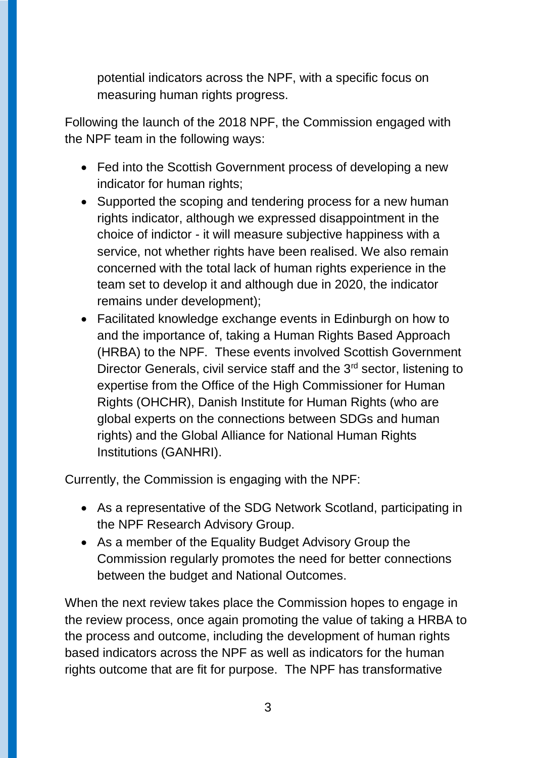potential indicators across the NPF, with a specific focus on measuring human rights progress.

Following the launch of the 2018 NPF, the Commission engaged with the NPF team in the following ways:

- Fed into the Scottish Government process of developing a new indicator for human rights;
- Supported the scoping and tendering process for a new human rights indicator, although we expressed disappointment in the choice of indictor - it will measure subjective happiness with a service, not whether rights have been realised. We also remain concerned with the total lack of human rights experience in the team set to develop it and although due in 2020, the indicator remains under development);
- Facilitated knowledge exchange events in Edinburgh on how to and the importance of, taking a Human Rights Based Approach (HRBA) to the NPF. These events involved Scottish Government Director Generals, civil service staff and the 3<sup>rd</sup> sector, listening to expertise from the Office of the High Commissioner for Human Rights (OHCHR), Danish Institute for Human Rights (who are global experts on the connections between SDGs and human rights) and the Global Alliance for National Human Rights Institutions (GANHRI).

Currently, the Commission is engaging with the NPF:

- As a representative of the SDG Network Scotland, participating in the NPF Research Advisory Group.
- As a member of the Equality Budget Advisory Group the Commission regularly promotes the need for better connections between the budget and National Outcomes.

When the next review takes place the Commission hopes to engage in the review process, once again promoting the value of taking a HRBA to the process and outcome, including the development of human rights based indicators across the NPF as well as indicators for the human rights outcome that are fit for purpose. The NPF has transformative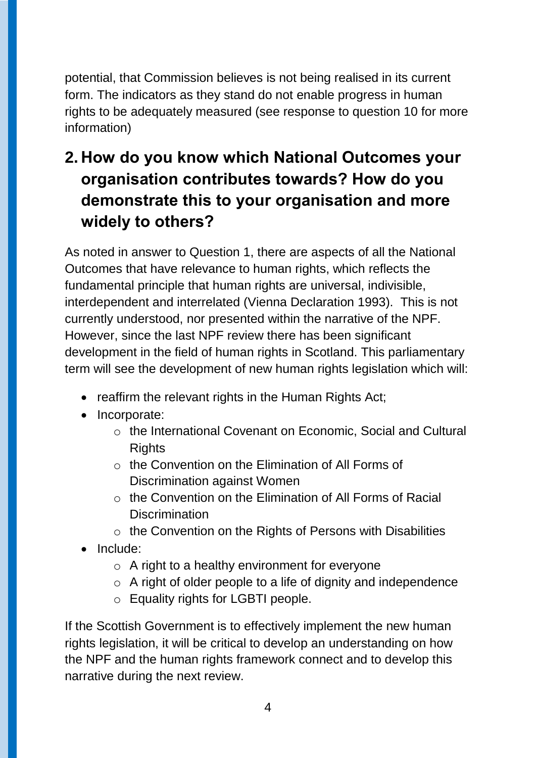potential, that Commission believes is not being realised in its current form. The indicators as they stand do not enable progress in human rights to be adequately measured (see response to question 10 for more information)

# **2. How do you know which National Outcomes your organisation contributes towards? How do you demonstrate this to your organisation and more widely to others?**

As noted in answer to Question 1, there are aspects of all the National Outcomes that have relevance to human rights, which reflects the fundamental principle that human rights are universal, indivisible, interdependent and interrelated (Vienna Declaration 1993). This is not currently understood, nor presented within the narrative of the NPF. However, since the last NPF review there has been significant development in the field of human rights in Scotland. This parliamentary term will see the development of new human rights legislation which will:

- reaffirm the relevant rights in the Human Rights Act;
- Incorporate:
	- o the International Covenant on Economic, Social and Cultural **Rights**
	- $\circ$  the Convention on the Elimination of All Forms of Discrimination against Women
	- $\circ$  the Convention on the Elimination of All Forms of Racial **Discrimination**
	- o the Convention on the Rights of Persons with Disabilities
- Include:
	- $\circ$  A right to a healthy environment for everyone
	- o A right of older people to a life of dignity and independence
	- o Equality rights for LGBTI people.

If the Scottish Government is to effectively implement the new human rights legislation, it will be critical to develop an understanding on how the NPF and the human rights framework connect and to develop this narrative during the next review.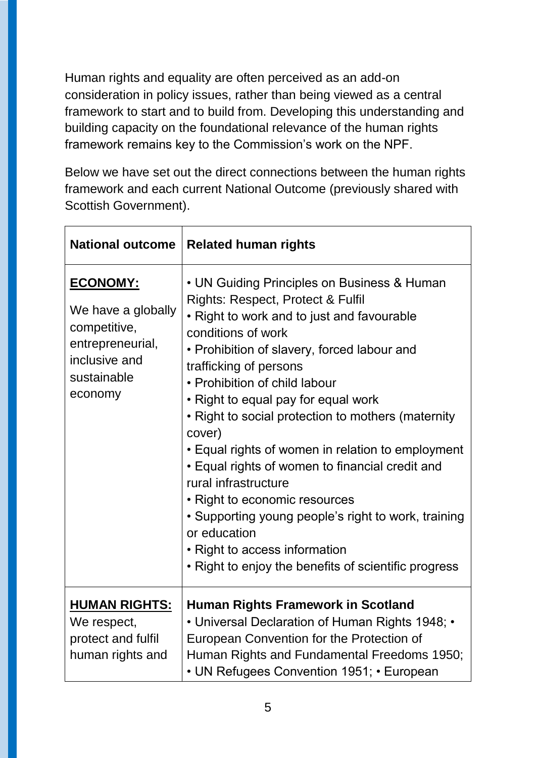Human rights and equality are often perceived as an add-on consideration in policy issues, rather than being viewed as a central framework to start and to build from. Developing this understanding and building capacity on the foundational relevance of the human rights framework remains key to the Commission's work on the NPF.

Below we have set out the direct connections between the human rights framework and each current National Outcome (previously shared with Scottish Government).

| <b>National outcome</b>                                                                                              | <b>Related human rights</b>                                                                                                                                                                                                                                                                                                                                                                                                                                                                                                                                                                                                                                                                            |
|----------------------------------------------------------------------------------------------------------------------|--------------------------------------------------------------------------------------------------------------------------------------------------------------------------------------------------------------------------------------------------------------------------------------------------------------------------------------------------------------------------------------------------------------------------------------------------------------------------------------------------------------------------------------------------------------------------------------------------------------------------------------------------------------------------------------------------------|
| <b>ECONOMY:</b><br>We have a globally<br>competitive,<br>entrepreneurial,<br>inclusive and<br>sustainable<br>economy | • UN Guiding Principles on Business & Human<br>Rights: Respect, Protect & Fulfil<br>• Right to work and to just and favourable<br>conditions of work<br>• Prohibition of slavery, forced labour and<br>trafficking of persons<br>• Prohibition of child labour<br>• Right to equal pay for equal work<br>• Right to social protection to mothers (maternity<br>cover)<br>• Equal rights of women in relation to employment<br>• Equal rights of women to financial credit and<br>rural infrastructure<br>• Right to economic resources<br>• Supporting young people's right to work, training<br>or education<br>• Right to access information<br>• Right to enjoy the benefits of scientific progress |
| <b>HUMAN RIGHTS:</b><br>We respect,<br>protect and fulfil<br>human rights and                                        | <b>Human Rights Framework in Scotland</b><br>• Universal Declaration of Human Rights 1948; •<br>European Convention for the Protection of<br>Human Rights and Fundamental Freedoms 1950;<br>• UN Refugees Convention 1951; • European                                                                                                                                                                                                                                                                                                                                                                                                                                                                  |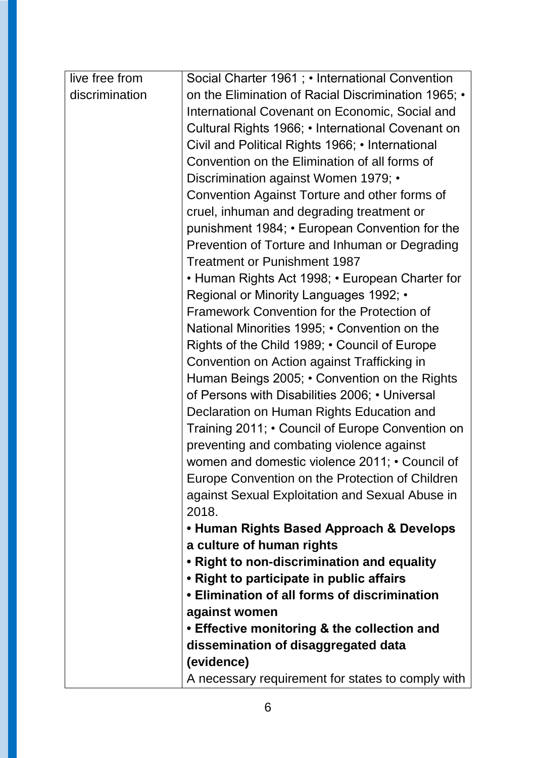| live free from | Social Charter 1961 ; • International Convention    |
|----------------|-----------------------------------------------------|
| discrimination | on the Elimination of Racial Discrimination 1965; • |
|                | International Covenant on Economic, Social and      |
|                | Cultural Rights 1966; • International Covenant on   |
|                | Civil and Political Rights 1966; • International    |
|                | Convention on the Elimination of all forms of       |
|                | Discrimination against Women 1979; •                |
|                | Convention Against Torture and other forms of       |
|                | cruel, inhuman and degrading treatment or           |
|                | punishment 1984; • European Convention for the      |
|                | Prevention of Torture and Inhuman or Degrading      |
|                | <b>Treatment or Punishment 1987</b>                 |
|                | • Human Rights Act 1998; • European Charter for     |
|                | Regional or Minority Languages 1992; •              |
|                | Framework Convention for the Protection of          |
|                | National Minorities 1995; • Convention on the       |
|                | Rights of the Child 1989; • Council of Europe       |
|                | Convention on Action against Trafficking in         |
|                | Human Beings 2005; • Convention on the Rights       |
|                | of Persons with Disabilities 2006; • Universal      |
|                | Declaration on Human Rights Education and           |
|                | Training 2011; • Council of Europe Convention on    |
|                | preventing and combating violence against           |
|                | women and domestic violence 2011; • Council of      |
|                | Europe Convention on the Protection of Children     |
|                | against Sexual Exploitation and Sexual Abuse in     |
|                | 2018.                                               |
|                | • Human Rights Based Approach & Develops            |
|                | a culture of human rights                           |
|                | . Right to non-discrimination and equality          |
|                | • Right to participate in public affairs            |
|                | • Elimination of all forms of discrimination        |
|                | against women                                       |
|                | • Effective monitoring & the collection and         |
|                | dissemination of disaggregated data                 |
|                | (evidence)                                          |
|                | A necessary requirement for states to comply with   |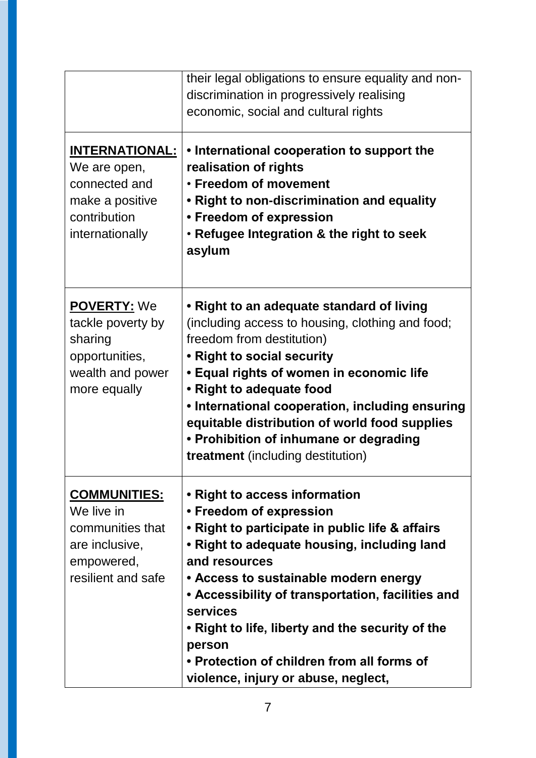|                                                                                                              | their legal obligations to ensure equality and non-<br>discrimination in progressively realising<br>economic, social and cultural rights                                                                                                                                                                                                                                                                                                 |
|--------------------------------------------------------------------------------------------------------------|------------------------------------------------------------------------------------------------------------------------------------------------------------------------------------------------------------------------------------------------------------------------------------------------------------------------------------------------------------------------------------------------------------------------------------------|
| <b>INTERNATIONAL:</b><br>We are open,<br>connected and<br>make a positive<br>contribution<br>internationally | • International cooperation to support the<br>realisation of rights<br>• Freedom of movement<br>• Right to non-discrimination and equality<br>• Freedom of expression<br>• Refugee Integration & the right to seek<br>asylum                                                                                                                                                                                                             |
| <b>POVERTY: We</b><br>tackle poverty by<br>sharing<br>opportunities,<br>wealth and power<br>more equally     | • Right to an adequate standard of living<br>(including access to housing, clothing and food;<br>freedom from destitution)<br>• Right to social security<br>• Equal rights of women in economic life<br>• Right to adequate food<br>• International cooperation, including ensuring<br>equitable distribution of world food supplies<br>• Prohibition of inhumane or degrading<br><b>treatment</b> (including destitution)               |
| <u>COMMUNITIES:</u><br>We live in<br>communities that<br>are inclusive,<br>empowered,<br>resilient and safe  | • Right to access information<br>• Freedom of expression<br>• Right to participate in public life & affairs<br>• Right to adequate housing, including land<br>and resources<br>• Access to sustainable modern energy<br>• Accessibility of transportation, facilities and<br>services<br>• Right to life, liberty and the security of the<br>person<br>• Protection of children from all forms of<br>violence, injury or abuse, neglect, |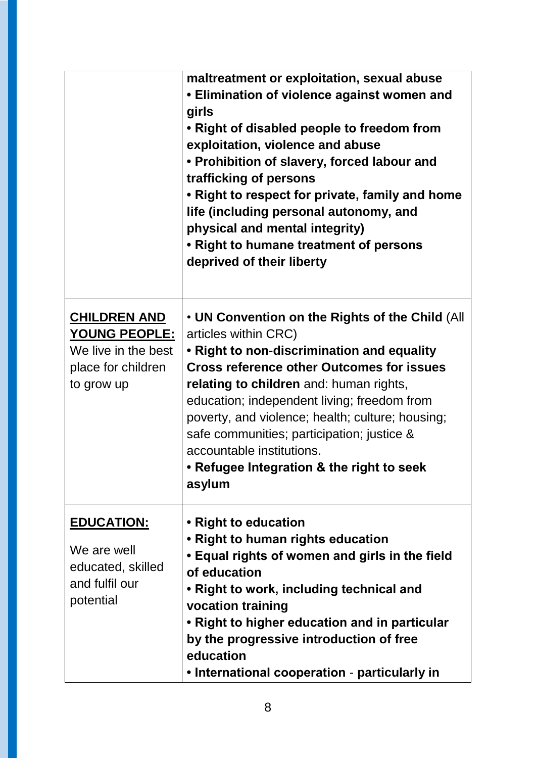|                                                                                                        | maltreatment or exploitation, sexual abuse<br>• Elimination of violence against women and<br>girls<br>• Right of disabled people to freedom from<br>exploitation, violence and abuse<br>• Prohibition of slavery, forced labour and<br>trafficking of persons<br>• Right to respect for private, family and home<br>life (including personal autonomy, and<br>physical and mental integrity)<br>• Right to humane treatment of persons<br>deprived of their liberty |
|--------------------------------------------------------------------------------------------------------|---------------------------------------------------------------------------------------------------------------------------------------------------------------------------------------------------------------------------------------------------------------------------------------------------------------------------------------------------------------------------------------------------------------------------------------------------------------------|
| <b>CHILDREN AND</b><br><u>YOUNG PEOPLE:</u><br>We live in the best<br>place for children<br>to grow up | • UN Convention on the Rights of the Child (All<br>articles within CRC)<br>• Right to non-discrimination and equality<br><b>Cross reference other Outcomes for issues</b><br>relating to children and: human rights,<br>education; independent living; freedom from<br>poverty, and violence; health; culture; housing;<br>safe communities; participation; justice &<br>accountable institutions.<br>• Refugee Integration & the right to seek<br>asylum           |
| <b>EDUCATION:</b><br>We are well<br>educated, skilled<br>and fulfil our<br>potential                   | • Right to education<br>• Right to human rights education<br>• Equal rights of women and girls in the field<br>of education<br>• Right to work, including technical and<br>vocation training<br>• Right to higher education and in particular<br>by the progressive introduction of free<br>education<br>• International cooperation - particularly in                                                                                                              |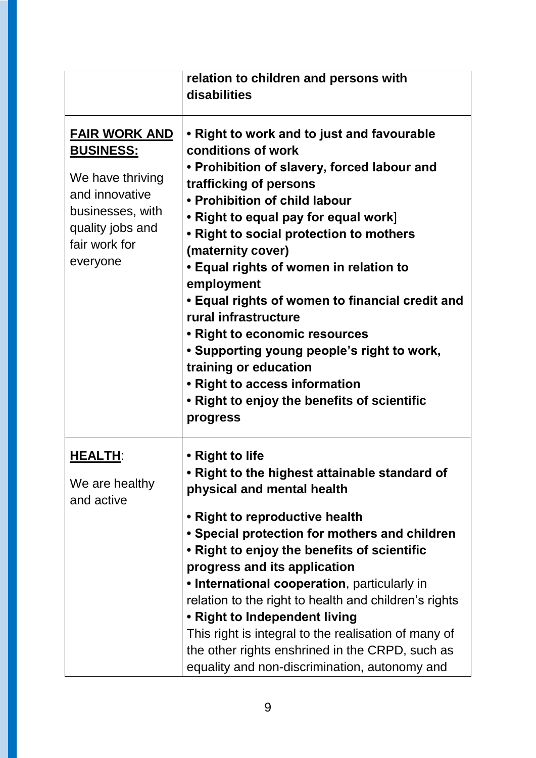|                                                                                                                                                     | relation to children and persons with<br>disabilities                                                                                                                                                                                                                                                                                                                                                                                                                                                                                                                                                                     |
|-----------------------------------------------------------------------------------------------------------------------------------------------------|---------------------------------------------------------------------------------------------------------------------------------------------------------------------------------------------------------------------------------------------------------------------------------------------------------------------------------------------------------------------------------------------------------------------------------------------------------------------------------------------------------------------------------------------------------------------------------------------------------------------------|
| <b>FAIR WORK AND</b><br><u>BUSINESS:</u><br>We have thriving<br>and innovative<br>businesses, with<br>quality jobs and<br>fair work for<br>everyone | • Right to work and to just and favourable<br>conditions of work<br>• Prohibition of slavery, forced labour and<br>trafficking of persons<br>• Prohibition of child labour<br>• Right to equal pay for equal work]<br>• Right to social protection to mothers<br>(maternity cover)<br>• Equal rights of women in relation to<br>employment<br>• Equal rights of women to financial credit and<br>rural infrastructure<br>• Right to economic resources<br>• Supporting young people's right to work,<br>training or education<br>• Right to access information<br>• Right to enjoy the benefits of scientific<br>progress |
| <b>HEALTH:</b><br>We are healthy<br>and active                                                                                                      | • Right to life<br>$\mathsf{\cdot}$ Right to the highest attainable standard of<br>physical and mental health<br>• Right to reproductive health<br>• Special protection for mothers and children<br>• Right to enjoy the benefits of scientific<br>progress and its application<br>• International cooperation, particularly in<br>relation to the right to health and children's rights<br>• Right to Independent living<br>This right is integral to the realisation of many of<br>the other rights enshrined in the CRPD, such as<br>equality and non-discrimination, autonomy and                                     |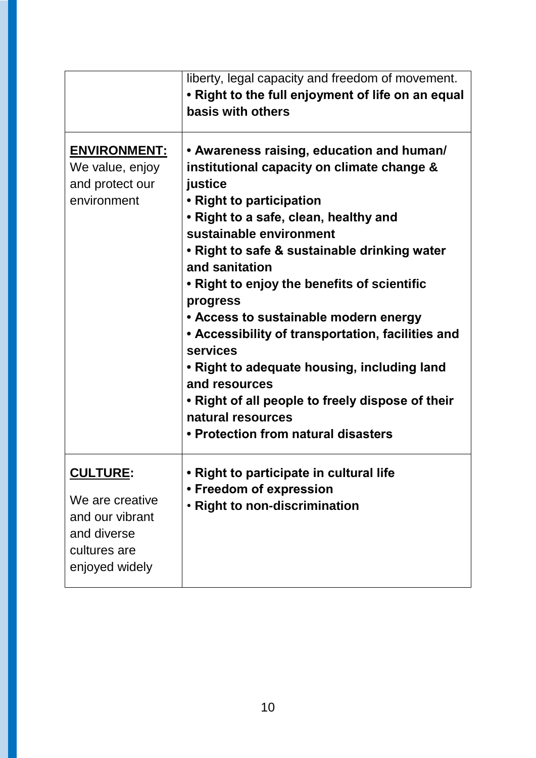|                                                                                                         | liberty, legal capacity and freedom of movement.<br>• Right to the full enjoyment of life on an equal<br>basis with others                                                                                                                                                                                                                                                                                                                                                                                                                                                                                                |
|---------------------------------------------------------------------------------------------------------|---------------------------------------------------------------------------------------------------------------------------------------------------------------------------------------------------------------------------------------------------------------------------------------------------------------------------------------------------------------------------------------------------------------------------------------------------------------------------------------------------------------------------------------------------------------------------------------------------------------------------|
| <b>ENVIRONMENT:</b><br>We value, enjoy<br>and protect our<br>environment                                | • Awareness raising, education and human/<br>institutional capacity on climate change &<br>justice<br>• Right to participation<br>• Right to a safe, clean, healthy and<br>sustainable environment<br>• Right to safe & sustainable drinking water<br>and sanitation<br>• Right to enjoy the benefits of scientific<br>progress<br>• Access to sustainable modern energy<br>• Accessibility of transportation, facilities and<br>services<br>• Right to adequate housing, including land<br>and resources<br>• Right of all people to freely dispose of their<br>natural resources<br>• Protection from natural disasters |
| <u>CULTURE</u> :<br>We are creative<br>and our vibrant<br>and diverse<br>cultures are<br>enjoyed widely | Right to participate in cultural life<br>• Freedom of expression<br>. Right to non-discrimination                                                                                                                                                                                                                                                                                                                                                                                                                                                                                                                         |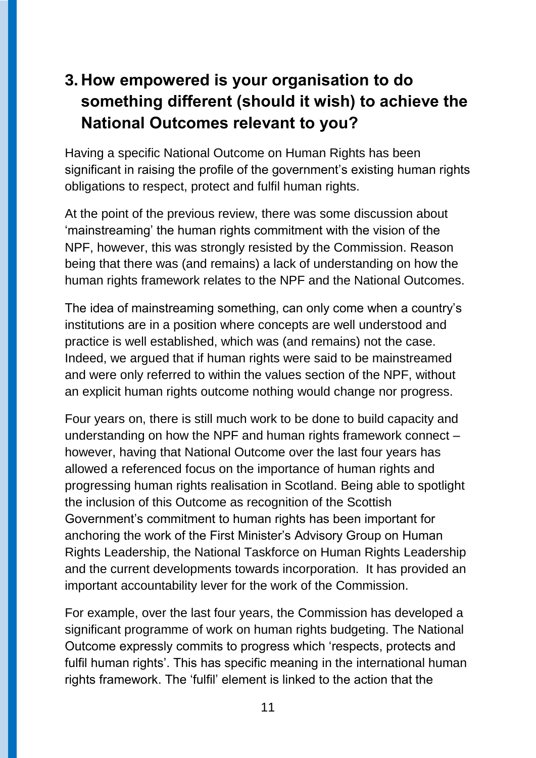# **3. How empowered is your organisation to do something different (should it wish) to achieve the National Outcomes relevant to you?**

Having a specific National Outcome on Human Rights has been significant in raising the profile of the government's existing human rights obligations to respect, protect and fulfil human rights.

At the point of the previous review, there was some discussion about 'mainstreaming' the human rights commitment with the vision of the NPF, however, this was strongly resisted by the Commission. Reason being that there was (and remains) a lack of understanding on how the human rights framework relates to the NPF and the National Outcomes.

The idea of mainstreaming something, can only come when a country's institutions are in a position where concepts are well understood and practice is well established, which was (and remains) not the case. Indeed, we argued that if human rights were said to be mainstreamed and were only referred to within the values section of the NPF, without an explicit human rights outcome nothing would change nor progress.

Four years on, there is still much work to be done to build capacity and understanding on how the NPF and human rights framework connect – however, having that National Outcome over the last four years has allowed a referenced focus on the importance of human rights and progressing human rights realisation in Scotland. Being able to spotlight the inclusion of this Outcome as recognition of the Scottish Government's commitment to human rights has been important for anchoring the work of the First Minister's Advisory Group on Human Rights Leadership, the National Taskforce on Human Rights Leadership and the current developments towards incorporation. It has provided an important accountability lever for the work of the Commission.

For example, over the last four years, the Commission has developed a significant programme of work on human rights budgeting. The National Outcome expressly commits to progress which 'respects, protects and fulfil human rights'. This has specific meaning in the international human rights framework. The 'fulfil' element is linked to the action that the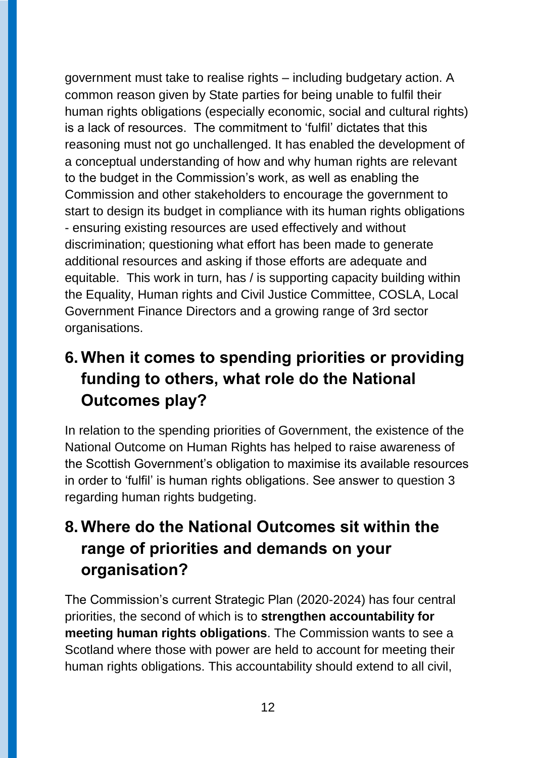government must take to realise rights – including budgetary action. A common reason given by State parties for being unable to fulfil their human rights obligations (especially economic, social and cultural rights) is a lack of resources. The commitment to 'fulfil' dictates that this reasoning must not go unchallenged. It has enabled the development of a conceptual understanding of how and why human rights are relevant to the budget in the Commission's work, as well as enabling the Commission and other stakeholders to encourage the government to start to design its budget in compliance with its human rights obligations - ensuring existing resources are used effectively and without discrimination; questioning what effort has been made to generate additional resources and asking if those efforts are adequate and equitable. This work in turn, has / is supporting capacity building within the Equality, Human rights and Civil Justice Committee, COSLA, Local Government Finance Directors and a growing range of 3rd sector organisations.

### **6. When it comes to spending priorities or providing funding to others, what role do the National Outcomes play?**

In relation to the spending priorities of Government, the existence of the National Outcome on Human Rights has helped to raise awareness of the Scottish Government's obligation to maximise its available resources in order to 'fulfil' is human rights obligations. See answer to question 3 regarding human rights budgeting.

# **8. Where do the National Outcomes sit within the range of priorities and demands on your organisation?**

The Commission's current Strategic Plan (2020-2024) has four central priorities, the second of which is to **strengthen accountability for meeting human rights obligations**. The Commission wants to see a Scotland where those with power are held to account for meeting their human rights obligations. This accountability should extend to all civil,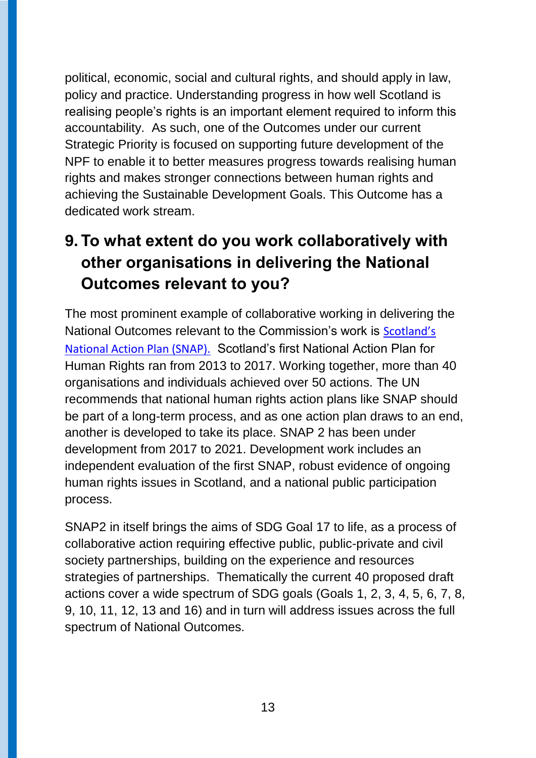political, economic, social and cultural rights, and should apply in law, policy and practice. Understanding progress in how well Scotland is realising people's rights is an important element required to inform this accountability. As such, one of the Outcomes under our current Strategic Priority is focused on supporting future development of the NPF to enable it to better measures progress towards realising human rights and makes stronger connections between human rights and achieving the Sustainable Development Goals. This Outcome has a dedicated work stream.

# **9. To what extent do you work collaboratively with other organisations in delivering the National Outcomes relevant to you?**

The most prominent example of collaborative working in delivering the National Outcomes relevant to the Commission's work is [Scotland's](https://www.scottishhumanrights.com/projects-and-programmes/scotlands-national-action-plan/)  [National Action Plan](https://www.scottishhumanrights.com/projects-and-programmes/scotlands-national-action-plan/) (SNAP). Scotland's first National Action Plan for Human Rights ran from 2013 to 2017. Working together, more than 40 organisations and individuals achieved over 50 actions. The UN recommends that national human rights action plans like SNAP should be part of a long-term process, and as one action plan draws to an end, another is developed to take its place. SNAP 2 has been under development from 2017 to 2021. Development work includes an independent evaluation of the first SNAP, robust evidence of ongoing human rights issues in Scotland, and a national public participation process.

SNAP2 in itself brings the aims of SDG Goal 17 to life, as a process of collaborative action requiring effective public, public-private and civil society partnerships, building on the experience and resources strategies of partnerships. Thematically the current 40 proposed draft actions cover a wide spectrum of SDG goals (Goals 1, 2, 3, 4, 5, 6, 7, 8, 9, 10, 11, 12, 13 and 16) and in turn will address issues across the full spectrum of National Outcomes.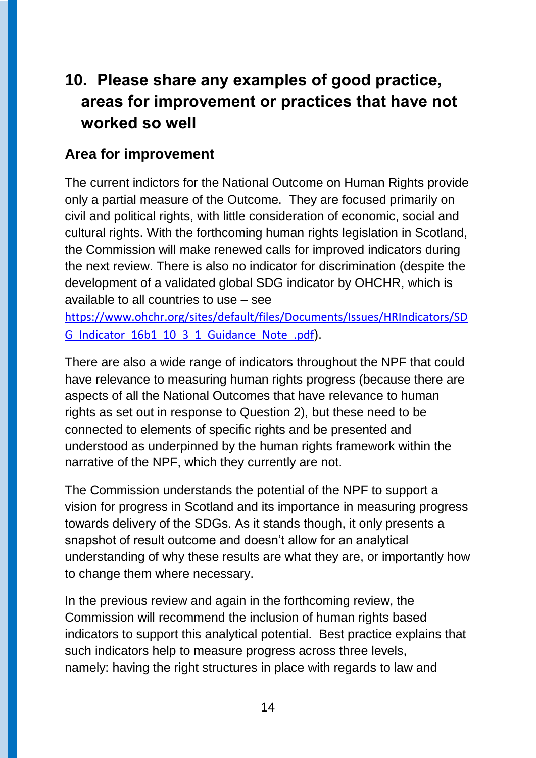# **10. Please share any examples of good practice, areas for improvement or practices that have not worked so well**

#### **Area for improvement**

The current indictors for the National Outcome on Human Rights provide only a partial measure of the Outcome. They are focused primarily on civil and political rights, with little consideration of economic, social and cultural rights. With the forthcoming human rights legislation in Scotland, the Commission will make renewed calls for improved indicators during the next review. There is also no indicator for discrimination (despite the development of a validated global SDG indicator by OHCHR, which is available to all countries to use – see

[https://www.ohchr.org/sites/default/files/Documents/Issues/HRIndicators/SD](https://www.ohchr.org/sites/default/files/Documents/Issues/HRIndicators/SDG_Indicator_16b1_10_3_1_Guidance_Note_.pdf) G Indicator 16b1 10 3 1 Guidance Note .pdf).

There are also a wide range of indicators throughout the NPF that could have relevance to measuring human rights progress (because there are aspects of all the National Outcomes that have relevance to human rights as set out in response to Question 2), but these need to be connected to elements of specific rights and be presented and understood as underpinned by the human rights framework within the narrative of the NPF, which they currently are not.

The Commission understands the potential of the NPF to support a vision for progress in Scotland and its importance in measuring progress towards delivery of the SDGs. As it stands though, it only presents a snapshot of result outcome and doesn't allow for an analytical understanding of why these results are what they are, or importantly how to change them where necessary.

In the previous review and again in the forthcoming review, the Commission will recommend the inclusion of human rights based indicators to support this analytical potential. Best practice explains that such indicators help to measure progress across three levels, namely: having the right structures in place with regards to law and